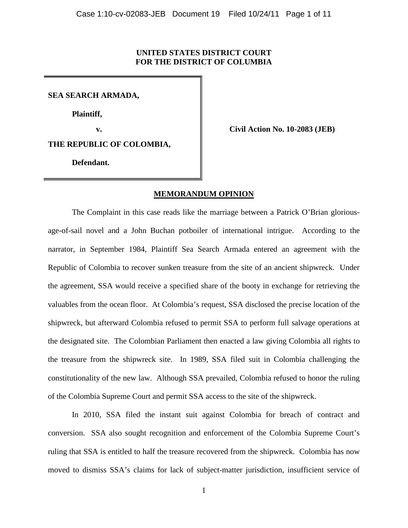# **UNITED STATES DISTRICT COURT FOR THE DISTRICT OF COLUMBIA**

**SEA SEARCH ARMADA,**

**Plaintiff,**

**v. Civil Action No. 10-2083 (JEB)**

**THE REPUBLIC OF COLOMBIA,**

**Defendant.**

# **MEMORANDUM OPINION**

The Complaint in this case reads like the marriage between a Patrick O'Brian gloriousage-of-sail novel and a John Buchan potboiler of international intrigue. According to the narrator, in September 1984, Plaintiff Sea Search Armada entered an agreement with the Republic of Colombia to recover sunken treasure from the site of an ancient shipwreck. Under the agreement, SSA would receive a specified share of the booty in exchange for retrieving the valuables from the ocean floor. At Colombia's request, SSA disclosed the precise location of the shipwreck, but afterward Colombia refused to permit SSA to perform full salvage operations at the designated site. The Colombian Parliament then enacted a law giving Colombia all rights to the treasure from the shipwreck site. In 1989, SSA filed suit in Colombia challenging the constitutionality of the new law. Although SSA prevailed, Colombia refused to honor the ruling of the Colombia Supreme Court and permit SSA access to the site of the shipwreck.

<span id="page-0-0"></span>In 2010, SSA filed the instant suit against Colombia for breach of contract and conversion. SSA also sought recognition and enforcement of the Colombia Supreme Court's ruling that SSA is entitled to half the treasure recovered from the shipwreck. Colombia has now moved to dismiss SSA's claims for lack of subject-matter jurisdiction, insufficient service of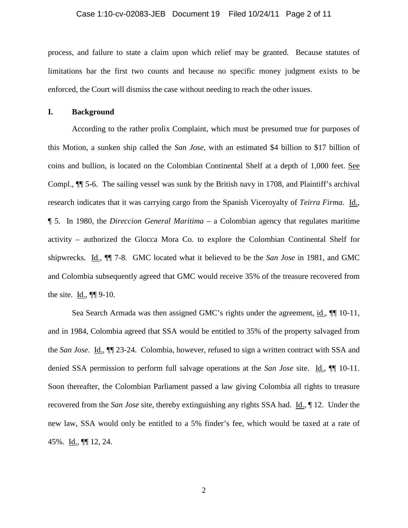#### Case 1:10-cv-02083-JEB Document 19 Filed 10/24/11 Page 2 of 11

process, and failure to state a claim upon which relief may be granted. Because statutes of limitations bar the first two counts and because no specific money judgment exists to be enforced, the Court will dismiss the case without needing to reach the other issues.

### **I. Background**

According to the rather prolix Complaint, which must be presumed true for purposes of this Motion, a sunken ship called the *San Jose*, with an estimated \$4 billion to \$17 billion of coins and bullion, is located on the Colombian Continental Shelf at a depth of 1,000 feet. See Compl., ¶¶ 5-6. The sailing vessel was sunk by the British navy in 1708, and Plaintiff's archival research indicates that it was carrying cargo from the Spanish Viceroyalty of *Teirra Firma*. Id., ¶ 5. In 1980, the *Direccion General Maritima* – a Colombian agency that regulates maritime activity – authorized the Glocca Mora Co. to explore the Colombian Continental Shelf for shipwrecks. Id., ¶¶ 7-8. GMC located what it believed to be the *San Jose* in 1981, and GMC and Colombia subsequently agreed that GMC would receive 35% of the treasure recovered from the site. Id., ¶¶ 9-10.

Sea Search Armada was then assigned GMC's rights under the agreement, id.,  $\P$  10-11, and in 1984, Colombia agreed that SSA would be entitled to 35% of the property salvaged from the *San Jose*. Id., ¶¶ 23-24. Colombia, however, refused to sign a written contract with SSA and denied SSA permission to perform full salvage operations at the *San Jose* site. Id., ¶¶ 10-11. Soon thereafter, the Colombian Parliament passed a law giving Colombia all rights to treasure recovered from the *San Jose* site, thereby extinguishing any rights SSA had. Id., ¶ 12. Under the new law, SSA would only be entitled to a 5% finder's fee, which would be taxed at a rate of 45%. Id., ¶¶ 12, 24.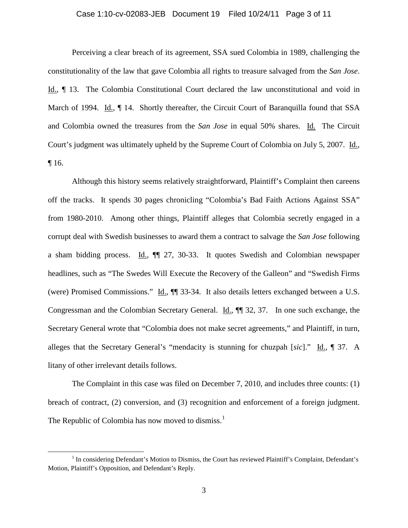#### Case 1:10-cv-02083-JEB Document 19 Filed 10/24/11 Page 3 of 11

Perceiving a clear breach of its agreement, SSA sued Colombia in 1989, challenging the constitutionality of the law that gave Colombia all rights to treasure salvaged from the *San Jose*. Id., ¶ 13. The Colombia Constitutional Court declared the law unconstitutional and void in March of 1994. Id.,  $\P$  14. Shortly thereafter, the Circuit Court of Baranquilla found that SSA and Colombia owned the treasures from the *San Jose* in equal 50% shares. Id. The Circuit Court's judgment was ultimately upheld by the Supreme Court of Colombia on July 5, 2007. Id., ¶ 16.

Although this history seems relatively straightforward, Plaintiff's Complaint then careens off the tracks. It spends 30 pages chronicling "Colombia's Bad Faith Actions Against SSA" from 1980-2010. Among other things, Plaintiff alleges that Colombia secretly engaged in a corrupt deal with Swedish businesses to award them a contract to salvage the *San Jose* following a sham bidding process. Id., ¶¶ 27, 30-33. It quotes Swedish and Colombian newspaper headlines, such as "The Swedes Will Execute the Recovery of the Galleon" and "Swedish Firms (were) Promised Commissions." Id., ¶¶ 33-34. It also details letters exchanged between a U.S. Congressman and the Colombian Secretary General. Id., ¶¶ 32, 37. In one such exchange, the Secretary General wrote that "Colombia does not make secret agreements," and Plaintiff, in turn, alleges that the Secretary General's "mendacity is stunning for chuzpah [*sic*]." Id., ¶ 37. A litany of other irrelevant details follows.

The Complaint in this case was filed on December 7, 2010, and includes three counts: (1) breach of contract, (2) conversion, and (3) recognition and enforcement of a foreign judgment. The Republic of Colombia has now moved to dismiss.<sup>[1](#page-0-0)</sup>

<span id="page-2-0"></span><sup>&</sup>lt;sup>1</sup> In considering Defendant's Motion to Dismiss, the Court has reviewed Plaintiff's Complaint, Defendant's Motion, Plaintiff's Opposition, and Defendant's Reply.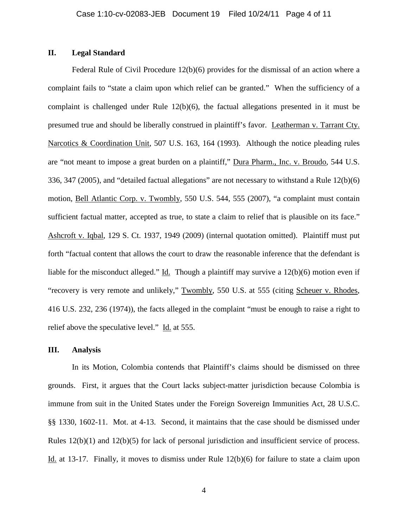# **II. Legal Standard**

Federal Rule of Civil Procedure 12(b)(6) provides for the dismissal of an action where a complaint fails to "state a claim upon which relief can be granted." When the sufficiency of a complaint is challenged under Rule 12(b)(6), the factual allegations presented in it must be presumed true and should be liberally construed in plaintiff's favor. Leatherman v. Tarrant Cty. Narcotics & Coordination Unit, 507 U.S. 163, 164 (1993). Although the notice pleading rules are "not meant to impose a great burden on a plaintiff," Dura Pharm., Inc. v. Broudo, 544 U.S. 336, 347 (2005), and "detailed factual allegations" are not necessary to withstand a Rule 12(b)(6) motion, Bell Atlantic Corp. v. Twombly, 550 U.S. 544, 555 (2007), "a complaint must contain sufficient factual matter, accepted as true, to state a claim to relief that is plausible on its face." Ashcroft v. Iqbal, 129 S. Ct. 1937, 1949 (2009) (internal quotation omitted). Plaintiff must put forth "factual content that allows the court to draw the reasonable inference that the defendant is liable for the misconduct alleged." Id. Though a plaintiff may survive a 12(b)(6) motion even if "recovery is very remote and unlikely," Twombly, 550 U.S. at 555 (citing Scheuer v. Rhodes, 416 U.S. 232, 236 (1974)), the facts alleged in the complaint "must be enough to raise a right to relief above the speculative level." Id. at 555.

### **III. Analysis**

In its Motion, Colombia contends that Plaintiff's claims should be dismissed on three grounds. First, it argues that the Court lacks subject-matter jurisdiction because Colombia is immune from suit in the United States under the Foreign Sovereign Immunities Act, 28 U.S.C. §§ 1330, 1602-11. Mot. at 4-13. Second, it maintains that the case should be dismissed under Rules 12(b)(1) and 12(b)(5) for lack of personal jurisdiction and insufficient service of process. Id. at 13-17. Finally, it moves to dismiss under Rule 12(b)(6) for failure to state a claim upon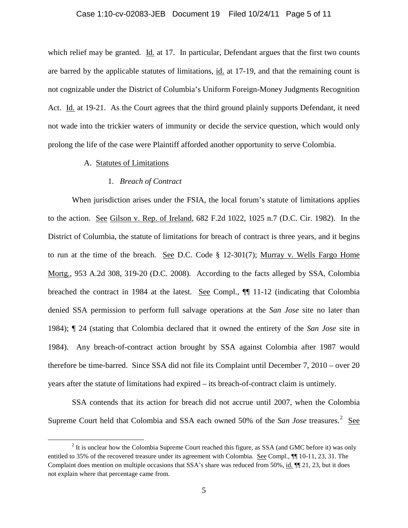# Case 1:10-cv-02083-JEB Document 19 Filed 10/24/11 Page 5 of 11

which relief may be granted. Id. at 17. In particular, Defendant argues that the first two counts are barred by the applicable statutes of limitations, id. at 17-19, and that the remaining count is not cognizable under the District of Columbia's Uniform Foreign-Money Judgments Recognition Act. Id. at 19-21. As the Court agrees that the third ground plainly supports Defendant, it need not wade into the trickier waters of immunity or decide the service question, which would only prolong the life of the case were Plaintiff afforded another opportunity to serve Colombia.

### A. Statutes of Limitations

#### 1. *Breach of Contract*

When jurisdiction arises under the FSIA, the local forum's statute of limitations applies to the action. See Gilson v. Rep. of Ireland, 682 F.2d 1022, 1025 n.7 (D.C. Cir. 1982). In the District of Columbia, the statute of limitations for breach of contract is three years, and it begins to run at the time of the breach. See D.C. Code § 12-301(7); Murray v. Wells Fargo Home Mortg., 953 A.2d 308, 319-20 (D.C. 2008). According to the facts alleged by SSA, Colombia breached the contract in 1984 at the latest. See Compl., ¶¶ 11-12 (indicating that Colombia denied SSA permission to perform full salvage operations at the *San Jose* site no later than 1984); ¶ 24 (stating that Colombia declared that it owned the entirety of the *San Jose* site in 1984). Any breach-of-contract action brought by SSA against Colombia after 1987 would therefore be time-barred. Since SSA did not file its Complaint until December 7, 2010 – over 20 years after the statute of limitations had expired – its breach-of-contract claim is untimely.

SSA contends that its action for breach did not accrue until 2007, when the Colombia Supreme Court held that Colombia and SSA each owned 50% of the *San Jose* treasures.<sup>[2](#page-2-0)</sup> See

<sup>&</sup>lt;sup>2</sup> It is unclear how the Colombia Supreme Court reached this figure, as SSA (and GMC before it) was only entitled to 35% of the recovered treasure under its agreement with Colombia. See Compl.,  $\P$ [10-11, 23, 31. The Complaint does mention on multiple occasions that SSA's share was reduced from 50%, id.  $\P$  21, 23, but it does not explain where that percentage came from.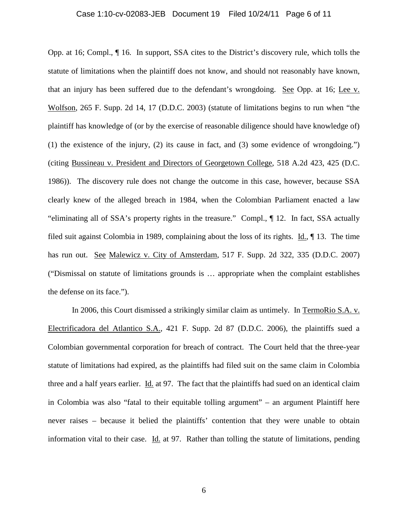#### Case 1:10-cv-02083-JEB Document 19 Filed 10/24/11 Page 6 of 11

Opp. at 16; Compl., ¶ 16. In support, SSA cites to the District's discovery rule, which tolls the statute of limitations when the plaintiff does not know, and should not reasonably have known, that an injury has been suffered due to the defendant's wrongdoing. See Opp. at 16; Lee v. Wolfson, 265 F. Supp. 2d 14, 17 (D.D.C. 2003) (statute of limitations begins to run when "the plaintiff has knowledge of (or by the exercise of reasonable diligence should have knowledge of) (1) the existence of the injury, (2) its cause in fact, and (3) some evidence of wrongdoing.") (citing Bussineau v. President and Directors of Georgetown College, 518 A.2d 423, 425 (D.C. 1986)). The discovery rule does not change the outcome in this case, however, because SSA clearly knew of the alleged breach in 1984, when the Colombian Parliament enacted a law "eliminating all of SSA's property rights in the treasure." Compl., ¶ 12. In fact, SSA actually filed suit against Colombia in 1989, complaining about the loss of its rights. Id., ¶ 13. The time has run out. See Malewicz v. City of Amsterdam, 517 F. Supp. 2d 322, 335 (D.D.C. 2007) ("Dismissal on statute of limitations grounds is … appropriate when the complaint establishes the defense on its face.").

In 2006, this Court dismissed a strikingly similar claim as untimely. In TermoRio S.A. v. Electrificadora del Atlantico S.A., 421 F. Supp. 2d 87 (D.D.C. 2006), the plaintiffs sued a Colombian governmental corporation for breach of contract. The Court held that the three-year statute of limitations had expired, as the plaintiffs had filed suit on the same claim in Colombia three and a half years earlier. Id. at 97. The fact that the plaintiffs had sued on an identical claim in Colombia was also "fatal to their equitable tolling argument" – an argument Plaintiff here never raises – because it belied the plaintiffs' contention that they were unable to obtain information vital to their case. Id. at 97. Rather than tolling the statute of limitations, pending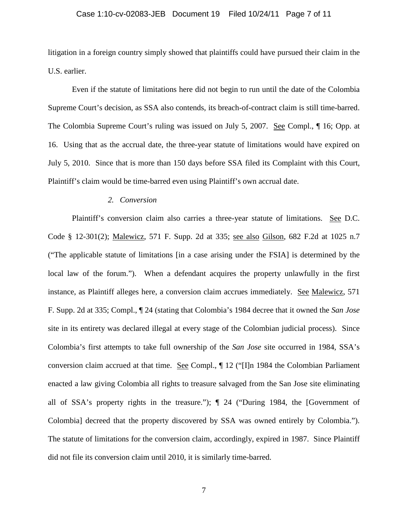#### Case 1:10-cv-02083-JEB Document 19 Filed 10/24/11 Page 7 of 11

litigation in a foreign country simply showed that plaintiffs could have pursued their claim in the U.S. earlier.

Even if the statute of limitations here did not begin to run until the date of the Colombia Supreme Court's decision, as SSA also contends, its breach-of-contract claim is still time-barred. The Colombia Supreme Court's ruling was issued on July 5, 2007. See Compl., ¶ 16; Opp. at 16. Using that as the accrual date, the three-year statute of limitations would have expired on July 5, 2010. Since that is more than 150 days before SSA filed its Complaint with this Court, Plaintiff's claim would be time-barred even using Plaintiff's own accrual date.

#### *2. Conversion*

Plaintiff's conversion claim also carries a three-year statute of limitations. See D.C. Code § 12-301(2); Malewicz, 571 F. Supp. 2d at 335; see also Gilson, 682 F.2d at 1025 n.7 ("The applicable statute of limitations [in a case arising under the FSIA] is determined by the local law of the forum."). When a defendant acquires the property unlawfully in the first instance, as Plaintiff alleges here, a conversion claim accrues immediately. See Malewicz, 571 F. Supp. 2d at 335; Compl., ¶ 24 (stating that Colombia's 1984 decree that it owned the *San Jose* site in its entirety was declared illegal at every stage of the Colombian judicial process). Since Colombia's first attempts to take full ownership of the *San Jose* site occurred in 1984, SSA's conversion claim accrued at that time. See Compl., ¶ 12 ("[I]n 1984 the Colombian Parliament enacted a law giving Colombia all rights to treasure salvaged from the San Jose site eliminating all of SSA's property rights in the treasure."); ¶ 24 ("During 1984, the [Government of Colombia] decreed that the property discovered by SSA was owned entirely by Colombia."). The statute of limitations for the conversion claim, accordingly, expired in 1987. Since Plaintiff did not file its conversion claim until 2010, it is similarly time-barred.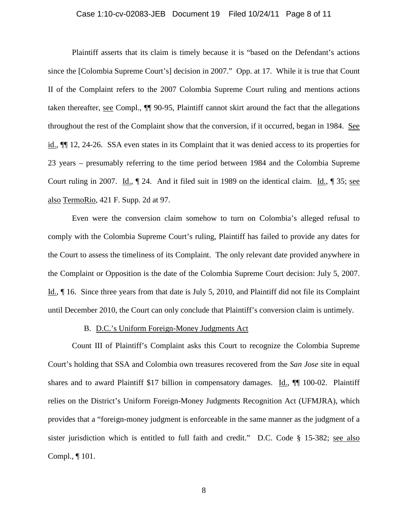#### Case 1:10-cv-02083-JEB Document 19 Filed 10/24/11 Page 8 of 11

Plaintiff asserts that its claim is timely because it is "based on the Defendant's actions since the [Colombia Supreme Court's] decision in 2007." Opp. at 17. While it is true that Count II of the Complaint refers to the 2007 Colombia Supreme Court ruling and mentions actions taken thereafter, see Compl., ¶¶ 90-95, Plaintiff cannot skirt around the fact that the allegations throughout the rest of the Complaint show that the conversion, if it occurred, began in 1984. See id., ¶¶ 12, 24-26. SSA even states in its Complaint that it was denied access to its properties for 23 years – presumably referring to the time period between 1984 and the Colombia Supreme Court ruling in 2007. Id.,  $\parallel$  24. And it filed suit in 1989 on the identical claim. Id.,  $\parallel$  35; see also TermoRio, 421 F. Supp. 2d at 97.

Even were the conversion claim somehow to turn on Colombia's alleged refusal to comply with the Colombia Supreme Court's ruling, Plaintiff has failed to provide any dates for the Court to assess the timeliness of its Complaint. The only relevant date provided anywhere in the Complaint or Opposition is the date of the Colombia Supreme Court decision: July 5, 2007. Id., ¶ 16. Since three years from that date is July 5, 2010, and Plaintiff did not file its Complaint until December 2010, the Court can only conclude that Plaintiff's conversion claim is untimely.

#### B. D.C.'s Uniform Foreign-Money Judgments Act

Count III of Plaintiff's Complaint asks this Court to recognize the Colombia Supreme Court's holding that SSA and Colombia own treasures recovered from the *San Jose* site in equal shares and to award Plaintiff \$17 billion in compensatory damages. Id.,  $\P$  100-02. Plaintiff relies on the District's Uniform Foreign-Money Judgments Recognition Act (UFMJRA), which provides that a "foreign-money judgment is enforceable in the same manner as the judgment of a sister jurisdiction which is entitled to full faith and credit." D.C. Code § 15-382; see also Compl., ¶ 101.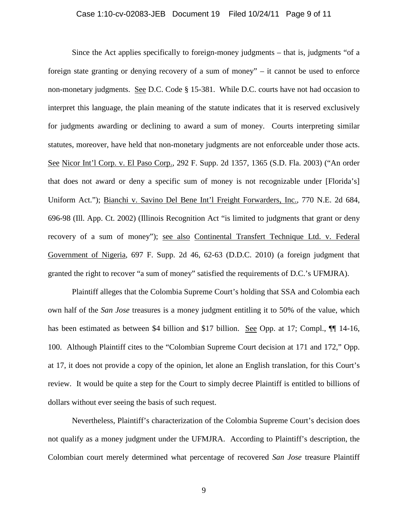#### Case 1:10-cv-02083-JEB Document 19 Filed 10/24/11 Page 9 of 11

Since the Act applies specifically to foreign-money judgments – that is, judgments "of a foreign state granting or denying recovery of a sum of money" – it cannot be used to enforce non-monetary judgments. See D.C. Code § 15-381. While D.C. courts have not had occasion to interpret this language, the plain meaning of the statute indicates that it is reserved exclusively for judgments awarding or declining to award a sum of money. Courts interpreting similar statutes, moreover, have held that non-monetary judgments are not enforceable under those acts. See Nicor Int'l Corp. v. El Paso Corp., 292 F. Supp. 2d 1357, 1365 (S.D. Fla. 2003) ("An order that does not award or deny a specific sum of money is not recognizable under [Florida's] Uniform Act."); Bianchi v. Savino Del Bene Int'l Freight Forwarders, Inc., 770 N.E. 2d 684, 696-98 (Ill. App. Ct. 2002) (Illinois Recognition Act "is limited to judgments that grant or deny recovery of a sum of money"); see also Continental Transfert Technique Ltd. v. Federal Government of Nigeria, 697 F. Supp. 2d 46, 62-63 (D.D.C. 2010) (a foreign judgment that granted the right to recover "a sum of money" satisfied the requirements of D.C.'s UFMJRA).

Plaintiff alleges that the Colombia Supreme Court's holding that SSA and Colombia each own half of the *San Jose* treasures is a money judgment entitling it to 50% of the value, which has been estimated as between \$4 billion and \$17 billion. See Opp. at 17; Compl.,  $\P\P$  14-16, 100. Although Plaintiff cites to the "Colombian Supreme Court decision at 171 and 172," Opp. at 17, it does not provide a copy of the opinion, let alone an English translation, for this Court's review. It would be quite a step for the Court to simply decree Plaintiff is entitled to billions of dollars without ever seeing the basis of such request.

Nevertheless, Plaintiff's characterization of the Colombia Supreme Court's decision does not qualify as a money judgment under the UFMJRA. According to Plaintiff's description, the Colombian court merely determined what percentage of recovered *San Jose* treasure Plaintiff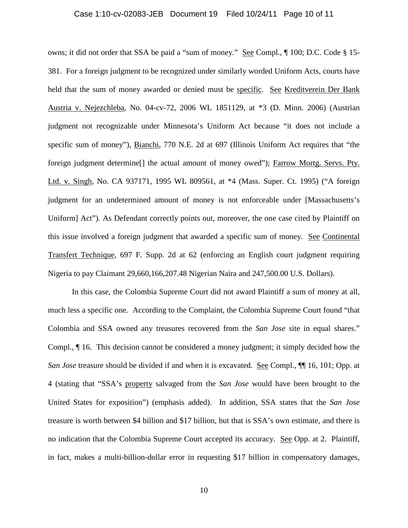#### Case 1:10-cv-02083-JEB Document 19 Filed 10/24/11 Page 10 of 11

owns; it did not order that SSA be paid a "sum of money." See Compl., ¶ 100; D.C. Code § 15- 381. For a foreign judgment to be recognized under similarly worded Uniform Acts, courts have held that the sum of money awarded or denied must be specific. See Kreditverein Der Bank Austria v. Nejezchleba, No. 04-cv-72, 2006 WL 1851129, at \*3 (D. Minn. 2006) (Austrian judgment not recognizable under Minnesota's Uniform Act because "it does not include a specific sum of money"), Bianchi, 770 N.E. 2d at 697 (Illinois Uniform Act requires that "the foreign judgment determine[] the actual amount of money owed"); Farrow Mortg. Servs. Pty. Ltd. v. Singh, No. CA 937171, 1995 WL 809561, at \*4 (Mass. Super. Ct. 1995) ("A foreign judgment for an undetermined amount of money is not enforceable under [Massachusetts's Uniform] Act"). As Defendant correctly points out, moreover, the one case cited by Plaintiff on this issue involved a foreign judgment that awarded a specific sum of money. See Continental Transfert Technique, 697 F. Supp. 2d at 62 (enforcing an English court judgment requiring Nigeria to pay Claimant 29,660,166,207.48 Nigerian Naira and 247,500.00 U.S. Dollars).

In this case, the Colombia Supreme Court did not award Plaintiff a sum of money at all, much less a specific one. According to the Complaint, the Colombia Supreme Court found "that Colombia and SSA owned any treasures recovered from the *San Jose* site in equal shares." Compl., ¶ 16. This decision cannot be considered a money judgment; it simply decided how the *San Jose* treasure should be divided if and when it is excavated. See Compl.,  $\P$  16, 101; Opp. at 4 (stating that "SSA's property salvaged from the *San Jose* would have been brought to the United States for exposition") (emphasis added). In addition, SSA states that the *San Jose* treasure is worth between \$4 billion and \$17 billion, but that is SSA's own estimate, and there is no indication that the Colombia Supreme Court accepted its accuracy. See Opp. at 2. Plaintiff, in fact, makes a multi-billion-dollar error in requesting \$17 billion in compensatory damages,